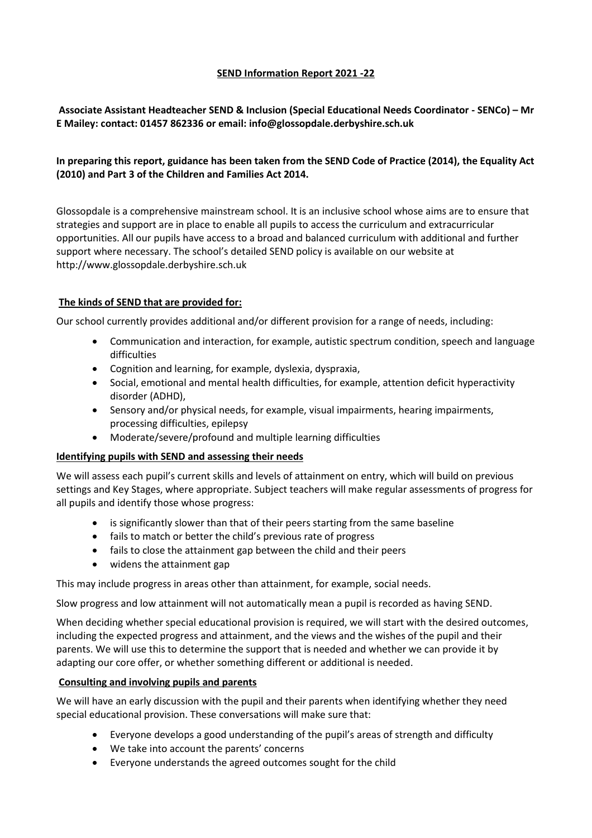# **SEND Information Report 2021 -22**

**Associate Assistant Headteacher SEND & Inclusion (Special Educational Needs Coordinator - SENCo) – Mr E Mailey: contact: 01457 862336 or email: info@glossopdale.derbyshire.sch.uk**

# **In preparing this report, guidance has been taken from the SEND Code of Practice (2014), the Equality Act (2010) and Part 3 of the Children and Families Act 2014.**

Glossopdale is a comprehensive mainstream school. It is an inclusive school whose aims are to ensure that strategies and support are in place to enable all pupils to access the curriculum and extracurricular opportunities. All our pupils have access to a broad and balanced curriculum with additional and further support where necessary. The school's detailed SEND policy is available on our website at http://www.glossopdale.derbyshire.sch.uk

# **The kinds of SEND that are provided for:**

Our school currently provides additional and/or different provision for a range of needs, including:

- Communication and interaction, for example, autistic spectrum condition, speech and language difficulties
- Cognition and learning, for example, dyslexia, dyspraxia,
- Social, emotional and mental health difficulties, for example, attention deficit hyperactivity disorder (ADHD),
- Sensory and/or physical needs, for example, visual impairments, hearing impairments, processing difficulties, epilepsy
- Moderate/severe/profound and multiple learning difficulties

### **Identifying pupils with SEND and assessing their needs**

We will assess each pupil's current skills and levels of attainment on entry, which will build on previous settings and Key Stages, where appropriate. Subject teachers will make regular assessments of progress for all pupils and identify those whose progress:

- is significantly slower than that of their peers starting from the same baseline
- fails to match or better the child's previous rate of progress
- fails to close the attainment gap between the child and their peers
- widens the attainment gap

This may include progress in areas other than attainment, for example, social needs.

Slow progress and low attainment will not automatically mean a pupil is recorded as having SEND.

When deciding whether special educational provision is required, we will start with the desired outcomes, including the expected progress and attainment, and the views and the wishes of the pupil and their parents. We will use this to determine the support that is needed and whether we can provide it by adapting our core offer, or whether something different or additional is needed.

### **Consulting and involving pupils and parents**

We will have an early discussion with the pupil and their parents when identifying whether they need special educational provision. These conversations will make sure that:

- Everyone develops a good understanding of the pupil's areas of strength and difficulty
- We take into account the parents' concerns
- Everyone understands the agreed outcomes sought for the child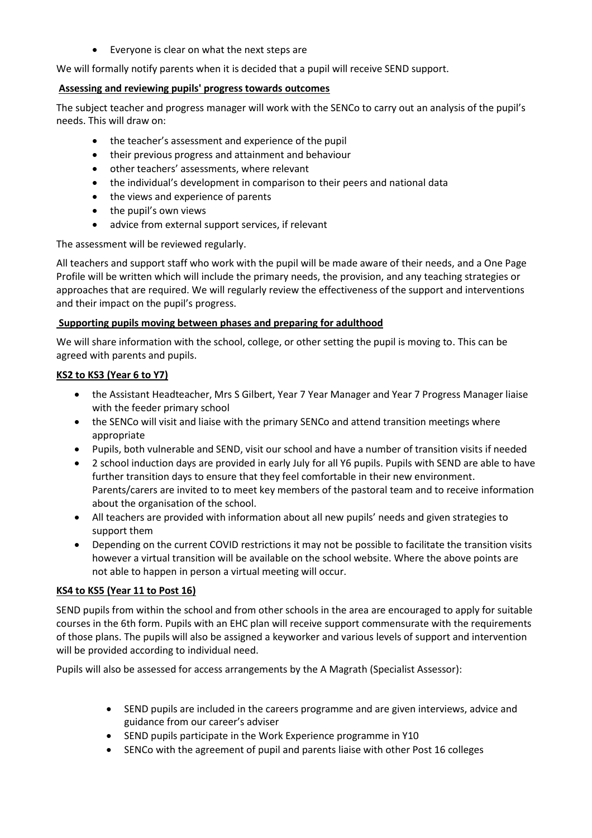Everyone is clear on what the next steps are

We will formally notify parents when it is decided that a pupil will receive SEND support.

### **Assessing and reviewing pupils' progress towards outcomes**

The subject teacher and progress manager will work with the SENCo to carry out an analysis of the pupil's needs. This will draw on:

- the teacher's assessment and experience of the pupil
- their previous progress and attainment and behaviour
- other teachers' assessments, where relevant
- the individual's development in comparison to their peers and national data
- the views and experience of parents
- the pupil's own views
- advice from external support services, if relevant

The assessment will be reviewed regularly.

All teachers and support staff who work with the pupil will be made aware of their needs, and a One Page Profile will be written which will include the primary needs, the provision, and any teaching strategies or approaches that are required. We will regularly review the effectiveness of the support and interventions and their impact on the pupil's progress.

# **Supporting pupils moving between phases and preparing for adulthood**

We will share information with the school, college, or other setting the pupil is moving to. This can be agreed with parents and pupils.

### **KS2 to KS3 (Year 6 to Y7)**

- the Assistant Headteacher, Mrs S Gilbert, Year 7 Year Manager and Year 7 Progress Manager liaise with the feeder primary school
- the SENCo will visit and liaise with the primary SENCo and attend transition meetings where appropriate
- Pupils, both vulnerable and SEND, visit our school and have a number of transition visits if needed
- 2 school induction days are provided in early July for all Y6 pupils. Pupils with SEND are able to have further transition days to ensure that they feel comfortable in their new environment. Parents/carers are invited to to meet key members of the pastoral team and to receive information about the organisation of the school.
- All teachers are provided with information about all new pupils' needs and given strategies to support them
- Depending on the current COVID restrictions it may not be possible to facilitate the transition visits however a virtual transition will be available on the school website. Where the above points are not able to happen in person a virtual meeting will occur.

# **KS4 to KS5 (Year 11 to Post 16)**

SEND pupils from within the school and from other schools in the area are encouraged to apply for suitable courses in the 6th form. Pupils with an EHC plan will receive support commensurate with the requirements of those plans. The pupils will also be assigned a keyworker and various levels of support and intervention will be provided according to individual need.

Pupils will also be assessed for access arrangements by the A Magrath (Specialist Assessor):

- SEND pupils are included in the careers programme and are given interviews, advice and guidance from our career's adviser
- SEND pupils participate in the Work Experience programme in Y10
- SENCo with the agreement of pupil and parents liaise with other Post 16 colleges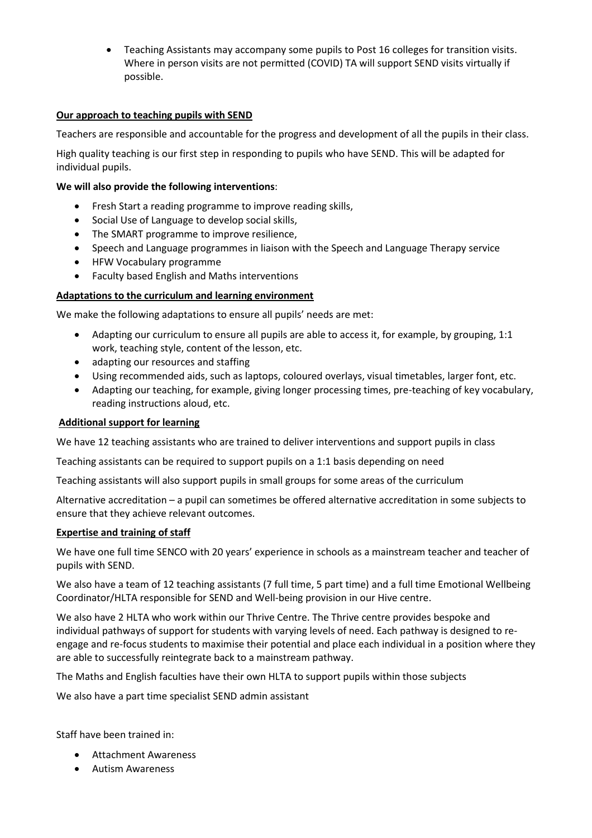Teaching Assistants may accompany some pupils to Post 16 colleges for transition visits. Where in person visits are not permitted (COVID) TA will support SEND visits virtually if possible.

# **Our approach to teaching pupils with SEND**

Teachers are responsible and accountable for the progress and development of all the pupils in their class.

High quality teaching is our first step in responding to pupils who have SEND. This will be adapted for individual pupils.

### **We will also provide the following interventions**:

- Fresh Start a reading programme to improve reading skills,
- Social Use of Language to develop social skills,
- The SMART programme to improve resilience,
- Speech and Language programmes in liaison with the Speech and Language Therapy service
- HFW Vocabulary programme
- Faculty based English and Maths interventions

### **Adaptations to the curriculum and learning environment**

We make the following adaptations to ensure all pupils' needs are met:

- Adapting our curriculum to ensure all pupils are able to access it, for example, by grouping, 1:1 work, teaching style, content of the lesson, etc.
- adapting our resources and staffing
- Using recommended aids, such as laptops, coloured overlays, visual timetables, larger font, etc.
- Adapting our teaching, for example, giving longer processing times, pre-teaching of key vocabulary, reading instructions aloud, etc.

### **Additional support for learning**

We have 12 teaching assistants who are trained to deliver interventions and support pupils in class

Teaching assistants can be required to support pupils on a 1:1 basis depending on need

Teaching assistants will also support pupils in small groups for some areas of the curriculum

Alternative accreditation – a pupil can sometimes be offered alternative accreditation in some subjects to ensure that they achieve relevant outcomes.

### **Expertise and training of staff**

We have one full time SENCO with 20 years' experience in schools as a mainstream teacher and teacher of pupils with SEND.

We also have a team of 12 teaching assistants (7 full time, 5 part time) and a full time Emotional Wellbeing Coordinator/HLTA responsible for SEND and Well-being provision in our Hive centre.

We also have 2 HLTA who work within our Thrive Centre. The Thrive centre provides bespoke and individual pathways of support for students with varying levels of need. Each pathway is designed to reengage and re-focus students to maximise their potential and place each individual in a position where they are able to successfully reintegrate back to a mainstream pathway.

The Maths and English faculties have their own HLTA to support pupils within those subjects

We also have a part time specialist SEND admin assistant

Staff have been trained in:

- Attachment Awareness
- Autism Awareness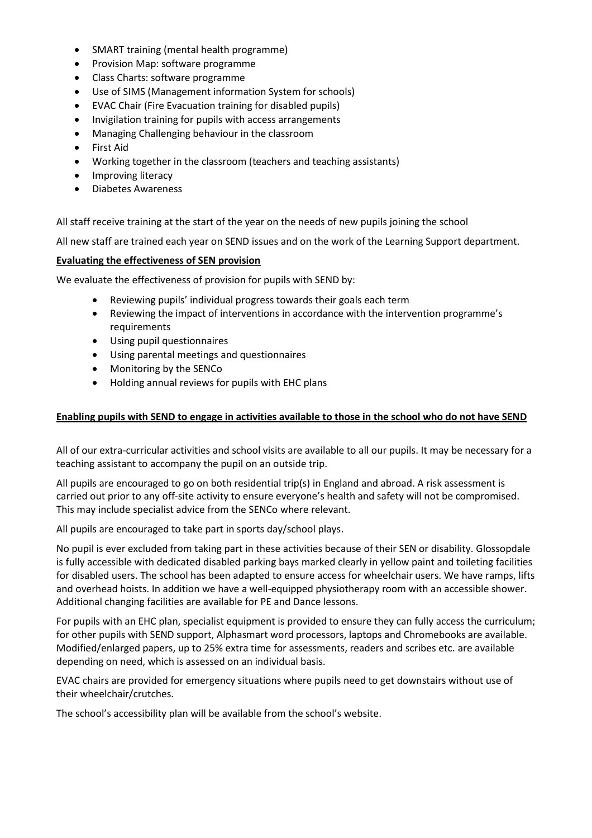- SMART training (mental health programme)
- Provision Map: software programme
- Class Charts: software programme
- Use of SIMS (Management information System for schools)
- EVAC Chair (Fire Evacuation training for disabled pupils)
- Invigilation training for pupils with access arrangements
- Managing Challenging behaviour in the classroom
- First Aid
- Working together in the classroom (teachers and teaching assistants)
- Improving literacy
- Diabetes Awareness

All staff receive training at the start of the year on the needs of new pupils joining the school

All new staff are trained each year on SEND issues and on the work of the Learning Support department.

### **Evaluating the effectiveness of SEN provision**

We evaluate the effectiveness of provision for pupils with SEND by:

- Reviewing pupils' individual progress towards their goals each term
- Reviewing the impact of interventions in accordance with the intervention programme's requirements
- Using pupil questionnaires
- Using parental meetings and questionnaires
- Monitoring by the SENCo
- Holding annual reviews for pupils with EHC plans

# **Enabling pupils with SEND to engage in activities available to those in the school who do not have SEND**

All of our extra-curricular activities and school visits are available to all our pupils. It may be necessary for a teaching assistant to accompany the pupil on an outside trip.

All pupils are encouraged to go on both residential trip(s) in England and abroad. A risk assessment is carried out prior to any off-site activity to ensure everyone's health and safety will not be compromised. This may include specialist advice from the SENCo where relevant.

All pupils are encouraged to take part in sports day/school plays.

No pupil is ever excluded from taking part in these activities because of their SEN or disability. Glossopdale is fully accessible with dedicated disabled parking bays marked clearly in yellow paint and toileting facilities for disabled users. The school has been adapted to ensure access for wheelchair users. We have ramps, lifts and overhead hoists. In addition we have a well-equipped physiotherapy room with an accessible shower. Additional changing facilities are available for PE and Dance lessons.

For pupils with an EHC plan, specialist equipment is provided to ensure they can fully access the curriculum; for other pupils with SEND support, Alphasmart word processors, laptops and Chromebooks are available. Modified/enlarged papers, up to 25% extra time for assessments, readers and scribes etc. are available depending on need, which is assessed on an individual basis.

EVAC chairs are provided for emergency situations where pupils need to get downstairs without use of their wheelchair/crutches.

The school's accessibility plan will be available from the school's website.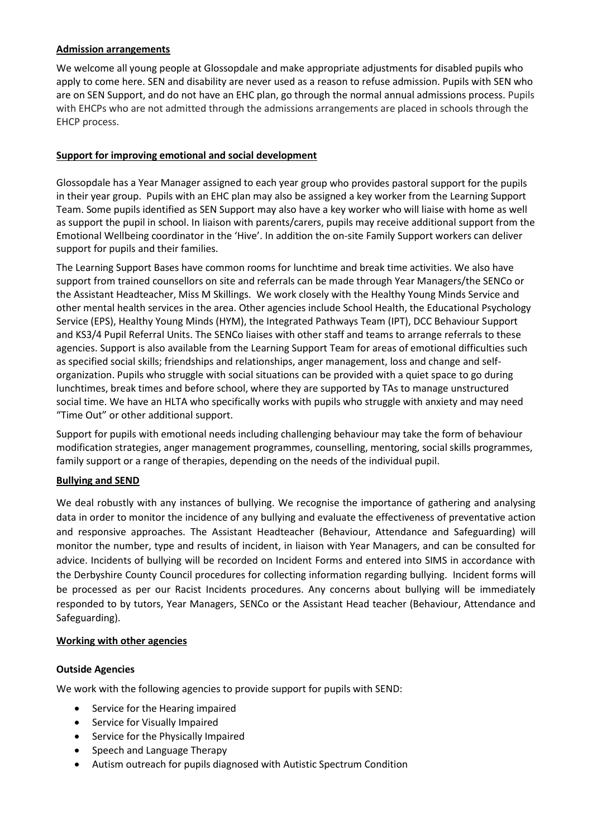# **Admission arrangements**

We welcome all young people at Glossopdale and make appropriate adjustments for disabled pupils who apply to come here. SEN and disability are never used as a reason to refuse admission. Pupils with SEN who are on SEN Support, and do not have an EHC plan, go through the normal annual admissions process. Pupils with EHCPs who are not admitted through the admissions arrangements are placed in schools through the EHCP process.

# **Support for improving emotional and social development**

Glossopdale has a Year Manager assigned to each year group who provides pastoral support for the pupils in their year group. Pupils with an EHC plan may also be assigned a key worker from the Learning Support Team. Some pupils identified as SEN Support may also have a key worker who will liaise with home as well as support the pupil in school. In liaison with parents/carers, pupils may receive additional support from the Emotional Wellbeing coordinator in the 'Hive'. In addition the on-site Family Support workers can deliver support for pupils and their families.

The Learning Support Bases have common rooms for lunchtime and break time activities. We also have support from trained counsellors on site and referrals can be made through Year Managers/the SENCo or the Assistant Headteacher, Miss M Skillings. We work closely with the Healthy Young Minds Service and other mental health services in the area. Other agencies include School Health, the Educational Psychology Service (EPS), Healthy Young Minds (HYM), the Integrated Pathways Team (IPT), DCC Behaviour Support and KS3/4 Pupil Referral Units. The SENCo liaises with other staff and teams to arrange referrals to these agencies. Support is also available from the Learning Support Team for areas of emotional difficulties such as specified social skills; friendships and relationships, anger management, loss and change and selforganization. Pupils who struggle with social situations can be provided with a quiet space to go during lunchtimes, break times and before school, where they are supported by TAs to manage unstructured social time. We have an HLTA who specifically works with pupils who struggle with anxiety and may need "Time Out" or other additional support.

Support for pupils with emotional needs including challenging behaviour may take the form of behaviour modification strategies, anger management programmes, counselling, mentoring, social skills programmes, family support or a range of therapies, depending on the needs of the individual pupil.

### **Bullying and SEND**

We deal robustly with any instances of bullying. We recognise the importance of gathering and analysing data in order to monitor the incidence of any bullying and evaluate the effectiveness of preventative action and responsive approaches. The Assistant Headteacher (Behaviour, Attendance and Safeguarding) will monitor the number, type and results of incident, in liaison with Year Managers, and can be consulted for advice. Incidents of bullying will be recorded on Incident Forms and entered into SIMS in accordance with the Derbyshire County Council procedures for collecting information regarding bullying. Incident forms will be processed as per our Racist Incidents procedures. Any concerns about bullying will be immediately responded to by tutors, Year Managers, SENCo or the Assistant Head teacher (Behaviour, Attendance and Safeguarding).

### **Working with other agencies**

### **Outside Agencies**

We work with the following agencies to provide support for pupils with SEND:

- Service for the Hearing impaired
- Service for Visually Impaired
- Service for the Physically Impaired
- Speech and Language Therapy
- Autism outreach for pupils diagnosed with Autistic Spectrum Condition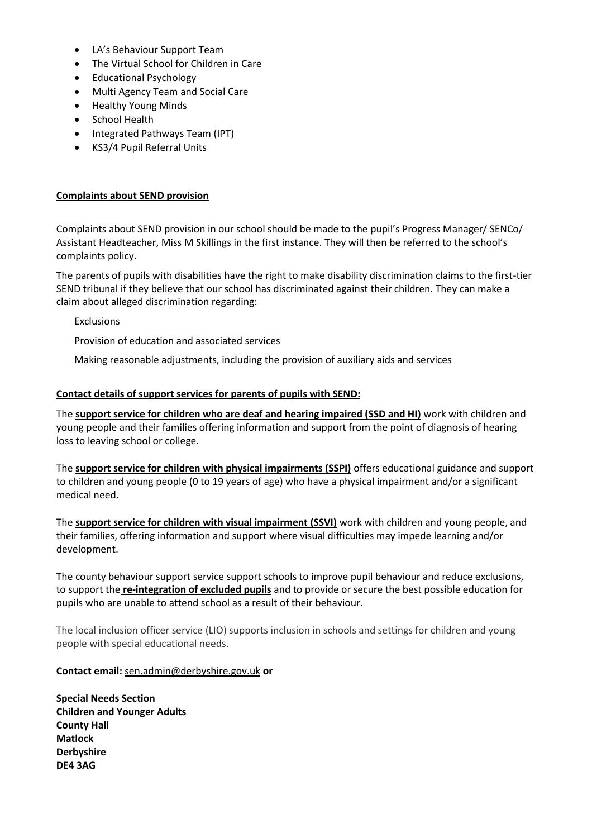- LA's Behaviour Support Team
- The Virtual School for Children in Care
- Educational Psychology
- Multi Agency Team and Social Care
- Healthy Young Minds
- School Health
- Integrated Pathways Team (IPT)
- KS3/4 Pupil Referral Units

### **Complaints about SEND provision**

Complaints about SEND provision in our school should be made to the pupil's Progress Manager/ SENCo/ Assistant Headteacher, Miss M Skillings in the first instance. They will then be referred to the school's complaints policy.

The parents of pupils with disabilities have the right to make disability discrimination claims to the first-tier SEND tribunal if they believe that our school has discriminated against their children. They can make a claim about alleged discrimination regarding:

Exclusions

Provision of education and associated services

Making reasonable adjustments, including the provision of auxiliary aids and services

#### **Contact details of support services for parents of pupils with SEND:**

The **[support service for children who are deaf and hearing impaired \(SSD and HI\)](https://www.derbyshire.gov.uk/education/schools/special-educational-needs/support/deaf-hearing-impaired/sensory-and-physical-support-service-for-children-and-young-people-who-are-deaf-or-hearing-impaired.aspx)** work with children and young people and their families offering information and support from the point of diagnosis of hearing loss to leaving school or college.

The **[support service for children with physical impairments \(SSPI\)](https://www.derbyshire.gov.uk/education/schools/special-educational-needs/support/physical-impairment/sensory-and-physical-support-service-for-children-and-young-people-with-physical-impairments.aspx)** offers educational guidance and support to children and young people (0 to 19 years of age) who have a physical impairment and/or a significant medical need.

The **[support service for children with visual impairment \(SSVI\)](https://www.derbyshire.gov.uk/education/schools/special-educational-needs/support/visual-impairment/sensory-and-physical-support-service-for-children-and-young-people-with-visual-impairments.aspx)** work with children and young people, and their families, offering information and support where visual difficulties may impede learning and/or development.

The county behaviour support service support schools to improve pupil behaviour and reduce exclusions, to support the **[re-integration of excluded pupils](https://www.derbyshire.gov.uk/education/schools/attendance-behaviour-welfare/support/multi-agency-support-team/inclusion-pathways-team.aspx)** and to provide or secure the best possible education for pupils who are unable to attend school as a result of their behaviour.

The local inclusion officer service (LIO) supports inclusion in schools and settings for children and young people with special educational needs.

**Contact email:** [sen.admin@derbyshire.gov.uk](mailto:sen.admin@derbyshire.gov.uk) **or**

**Special Needs Section Children and Younger Adults County Hall Matlock Derbyshire DE4 3AG**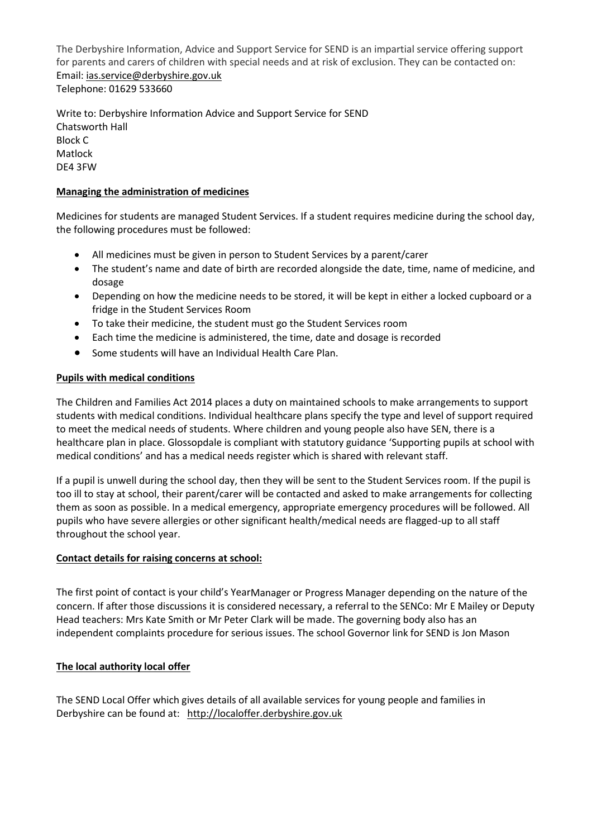The Derbyshire Information, Advice and Support Service for SEND is an impartial service offering support for parents and carers of children with special needs and at risk of exclusion. They can be contacted on: Email: [ias.service@derbyshire.gov.uk](mailto:ias.service@derbyshire.gov.uk) Telephone: 01629 533660

Write to: Derbyshire Information Advice and Support Service for SEND Chatsworth Hall Block C Matlock DE4 3FW

# **Managing the administration of medicines**

Medicines for students are managed Student Services. If a student requires medicine during the school day, the following procedures must be followed:

- All medicines must be given in person to Student Services by a parent/carer
- The student's name and date of birth are recorded alongside the date, time, name of medicine, and dosage
- Depending on how the medicine needs to be stored, it will be kept in either a locked cupboard or a fridge in the Student Services Room
- To take their medicine, the student must go the Student Services room
- Each time the medicine is administered, the time, date and dosage is recorded
- Some students will have an Individual Health Care Plan.

### **Pupils with medical conditions**

The Children and Families Act 2014 places a duty on maintained schools to make arrangements to support students with medical conditions. Individual healthcare plans specify the type and level of support required to meet the medical needs of students. Where children and young people also have SEN, there is a healthcare plan in place. Glossopdale is compliant with statutory guidance 'Supporting pupils at school with medical conditions' and has a medical needs register which is shared with relevant staff.

If a pupil is unwell during the school day, then they will be sent to the Student Services room. If the pupil is too ill to stay at school, their parent/carer will be contacted and asked to make arrangements for collecting them as soon as possible. In a medical emergency, appropriate emergency procedures will be followed. All pupils who have severe allergies or other significant health/medical needs are flagged-up to all staff throughout the school year.

### **Contact details for raising concerns at school:**

The first point of contact is your child's YearManager or Progress Manager depending on the nature of the concern. If after those discussions it is considered necessary, a referral to the SENCo: Mr E Mailey or Deputy Head teachers: Mrs Kate Smith or Mr Peter Clark will be made. The governing body also has an independent complaints procedure for serious issues. The school Governor link for SEND is Jon Mason

### **The local authority local offer**

The SEND Local Offer which gives details of all available services for young people and families in Derbyshire can be found at: [http://localoffer.derbyshire.gov.uk](http://localoffer.derbyshire.gov.uk/)